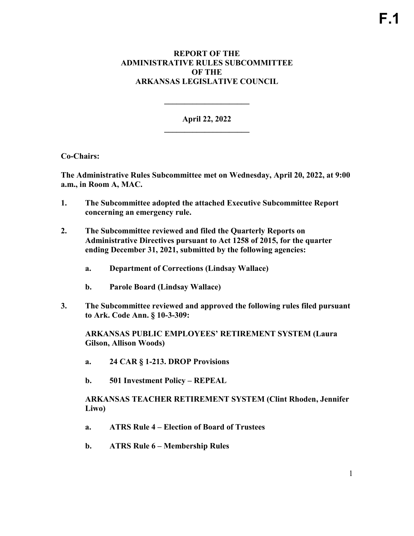### **REPORT OF THE ADMINISTRATIVE RULES SUBCOMMITTEE OF THE ARKANSAS LEGISLATIVE COUNCIL**

**April 22, 2022 \_\_\_\_\_\_\_\_\_\_\_\_\_\_\_\_\_\_\_\_\_** 

**\_\_\_\_\_\_\_\_\_\_\_\_\_\_\_\_\_\_\_\_\_** 

**Co-Chairs:** 

**The Administrative Rules Subcommittee met on Wednesday, April 20, 2022, at 9:00 a.m., in Room A, MAC.**

- **1. The Subcommittee adopted the attached Executive Subcommittee Report concerning an emergency rule.**
- **2. The Subcommittee reviewed and filed the Quarterly Reports on Administrative Directives pursuant to Act 1258 of 2015, for the quarter ending December 31, 2021, submitted by the following agencies:**
	- **a. Department of Corrections (Lindsay Wallace)**
	- **b. Parole Board (Lindsay Wallace)**
- **3. The Subcommittee reviewed and approved the following rules filed pursuant to Ark. Code Ann. § 10-3-309:**

**ARKANSAS PUBLIC EMPLOYEES' RETIREMENT SYSTEM (Laura Gilson, Allison Woods)** 

- **a. 24 CAR § 1-213. DROP Provisions**
- **b. 501 Investment Policy REPEAL**

**ARKANSAS TEACHER RETIREMENT SYSTEM (Clint Rhoden, Jennifer Liwo)** 

- **a. ATRS Rule 4 – Election of Board of Trustees**
- **b. ATRS Rule 6 – Membership Rules**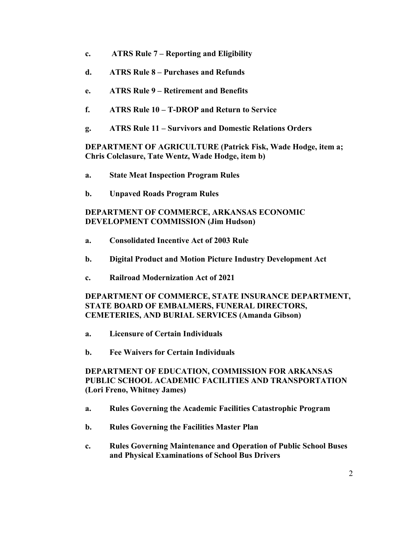- **c. ATRS Rule 7 – Reporting and Eligibility**
- **d. ATRS Rule 8 – Purchases and Refunds**
- **e. ATRS Rule 9 – Retirement and Benefits**
- **f. ATRS Rule 10 – T-DROP and Return to Service**
- **g. ATRS Rule 11 – Survivors and Domestic Relations Orders**

**DEPARTMENT OF AGRICULTURE (Patrick Fisk, Wade Hodge, item a; Chris Colclasure, Tate Wentz, Wade Hodge, item b)**

- **a. State Meat Inspection Program Rules**
- **b. Unpaved Roads Program Rules**

# **DEPARTMENT OF COMMERCE, ARKANSAS ECONOMIC DEVELOPMENT COMMISSION (Jim Hudson)**

- **a. Consolidated Incentive Act of 2003 Rule**
- **b. Digital Product and Motion Picture Industry Development Act**
- **c. Railroad Modernization Act of 2021**

# **DEPARTMENT OF COMMERCE, STATE INSURANCE DEPARTMENT, STATE BOARD OF EMBALMERS, FUNERAL DIRECTORS, CEMETERIES, AND BURIAL SERVICES (Amanda Gibson)**

- **a. Licensure of Certain Individuals**
- **b. Fee Waivers for Certain Individuals**

# **DEPARTMENT OF EDUCATION, COMMISSION FOR ARKANSAS PUBLIC SCHOOL ACADEMIC FACILITIES AND TRANSPORTATION (Lori Freno, Whitney James)**

- **a. Rules Governing the Academic Facilities Catastrophic Program**
- **b. Rules Governing the Facilities Master Plan**
- **c. Rules Governing Maintenance and Operation of Public School Buses and Physical Examinations of School Bus Drivers**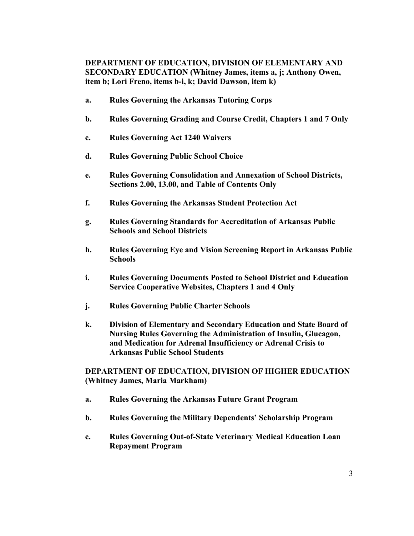# **DEPARTMENT OF EDUCATION, DIVISION OF ELEMENTARY AND SECONDARY EDUCATION (Whitney James, items a, j; Anthony Owen, item b; Lori Freno, items b-i, k; David Dawson, item k)**

- **a. Rules Governing the Arkansas Tutoring Corps**
- **b. Rules Governing Grading and Course Credit, Chapters 1 and 7 Only**
- **c. Rules Governing Act 1240 Waivers**
- **d. Rules Governing Public School Choice**
- **e. Rules Governing Consolidation and Annexation of School Districts, Sections 2.00, 13.00, and Table of Contents Only**
- **f. Rules Governing the Arkansas Student Protection Act**
- **g. Rules Governing Standards for Accreditation of Arkansas Public Schools and School Districts**
- **h. Rules Governing Eye and Vision Screening Report in Arkansas Public Schools**
- **i. Rules Governing Documents Posted to School District and Education Service Cooperative Websites, Chapters 1 and 4 Only**
- **j. Rules Governing Public Charter Schools**
- **k. Division of Elementary and Secondary Education and State Board of Nursing Rules Governing the Administration of Insulin, Glucagon, and Medication for Adrenal Insufficiency or Adrenal Crisis to Arkansas Public School Students**

### **DEPARTMENT OF EDUCATION, DIVISION OF HIGHER EDUCATION (Whitney James, Maria Markham)**

- **a. Rules Governing the Arkansas Future Grant Program**
- **b. Rules Governing the Military Dependents' Scholarship Program**
- **c. Rules Governing Out-of-State Veterinary Medical Education Loan Repayment Program**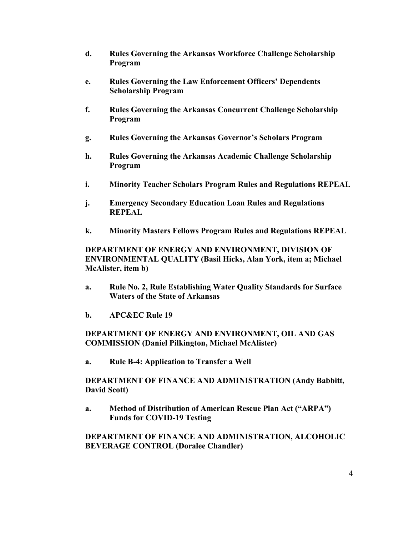- **d. Rules Governing the Arkansas Workforce Challenge Scholarship Program**
- **e. Rules Governing the Law Enforcement Officers' Dependents Scholarship Program**
- **f. Rules Governing the Arkansas Concurrent Challenge Scholarship Program**
- **g. Rules Governing the Arkansas Governor's Scholars Program**
- **h. Rules Governing the Arkansas Academic Challenge Scholarship Program**
- **i. Minority Teacher Scholars Program Rules and Regulations REPEAL**
- **j. Emergency Secondary Education Loan Rules and Regulations REPEAL**
- **k. Minority Masters Fellows Program Rules and Regulations REPEAL**

# **DEPARTMENT OF ENERGY AND ENVIRONMENT, DIVISION OF ENVIRONMENTAL QUALITY (Basil Hicks, Alan York, item a; Michael McAlister, item b)**

- **a. Rule No. 2, Rule Establishing Water Quality Standards for Surface Waters of the State of Arkansas**
- **b. APC&EC Rule 19**

# **DEPARTMENT OF ENERGY AND ENVIRONMENT, OIL AND GAS COMMISSION (Daniel Pilkington, Michael McAlister)**

**a. Rule B-4: Application to Transfer a Well**

**DEPARTMENT OF FINANCE AND ADMINISTRATION (Andy Babbitt, David Scott)**

**a. Method of Distribution of American Rescue Plan Act ("ARPA") Funds for COVID-19 Testing**

# **DEPARTMENT OF FINANCE AND ADMINISTRATION, ALCOHOLIC BEVERAGE CONTROL (Doralee Chandler)**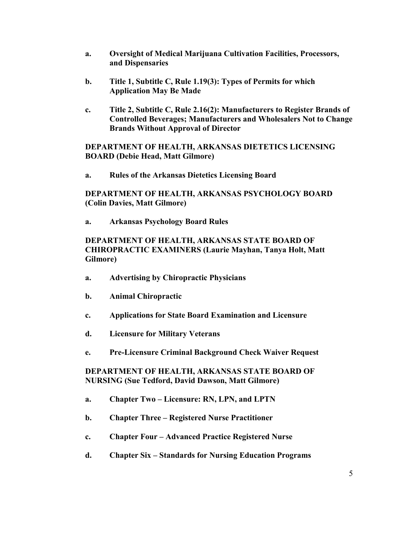- **a. Oversight of Medical Marijuana Cultivation Facilities, Processors, and Dispensaries**
- **b. Title 1, Subtitle C, Rule 1.19(3): Types of Permits for which Application May Be Made**
- **c. Title 2, Subtitle C, Rule 2.16(2): Manufacturers to Register Brands of Controlled Beverages; Manufacturers and Wholesalers Not to Change Brands Without Approval of Director**

### **DEPARTMENT OF HEALTH, ARKANSAS DIETETICS LICENSING BOARD (Debie Head, Matt Gilmore)**

**a. Rules of the Arkansas Dietetics Licensing Board**

### **DEPARTMENT OF HEALTH, ARKANSAS PSYCHOLOGY BOARD (Colin Davies, Matt Gilmore)**

**a. Arkansas Psychology Board Rules**

# **DEPARTMENT OF HEALTH, ARKANSAS STATE BOARD OF CHIROPRACTIC EXAMINERS (Laurie Mayhan, Tanya Holt, Matt Gilmore)**

- **a. Advertising by Chiropractic Physicians**
- **b. Animal Chiropractic**
- **c. Applications for State Board Examination and Licensure**
- **d. Licensure for Military Veterans**
- **e. Pre-Licensure Criminal Background Check Waiver Request**

#### **DEPARTMENT OF HEALTH, ARKANSAS STATE BOARD OF NURSING (Sue Tedford, David Dawson, Matt Gilmore)**

- **a. Chapter Two – Licensure: RN, LPN, and LPTN**
- **b. Chapter Three – Registered Nurse Practitioner**
- **c. Chapter Four – Advanced Practice Registered Nurse**
- **d. Chapter Six – Standards for Nursing Education Programs**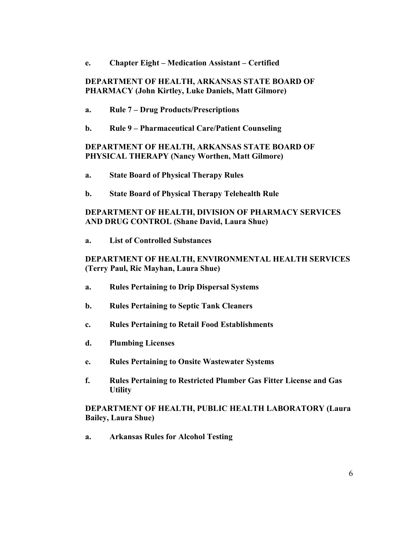**e. Chapter Eight – Medication Assistant – Certified**

#### **DEPARTMENT OF HEALTH, ARKANSAS STATE BOARD OF PHARMACY (John Kirtley, Luke Daniels, Matt Gilmore)**

- **a. Rule 7 – Drug Products/Prescriptions**
- **b. Rule 9 – Pharmaceutical Care/Patient Counseling**

#### **DEPARTMENT OF HEALTH, ARKANSAS STATE BOARD OF PHYSICAL THERAPY (Nancy Worthen, Matt Gilmore)**

- **a. State Board of Physical Therapy Rules**
- **b. State Board of Physical Therapy Telehealth Rule**

#### **DEPARTMENT OF HEALTH, DIVISION OF PHARMACY SERVICES AND DRUG CONTROL (Shane David, Laura Shue)**

**a. List of Controlled Substances**

#### **DEPARTMENT OF HEALTH, ENVIRONMENTAL HEALTH SERVICES (Terry Paul, Ric Mayhan, Laura Shue)**

- **a. Rules Pertaining to Drip Dispersal Systems**
- **b. Rules Pertaining to Septic Tank Cleaners**
- **c. Rules Pertaining to Retail Food Establishments**
- **d. Plumbing Licenses**
- **e. Rules Pertaining to Onsite Wastewater Systems**
- **f. Rules Pertaining to Restricted Plumber Gas Fitter License and Gas Utility**

#### **DEPARTMENT OF HEALTH, PUBLIC HEALTH LABORATORY (Laura Bailey, Laura Shue)**

**a. Arkansas Rules for Alcohol Testing**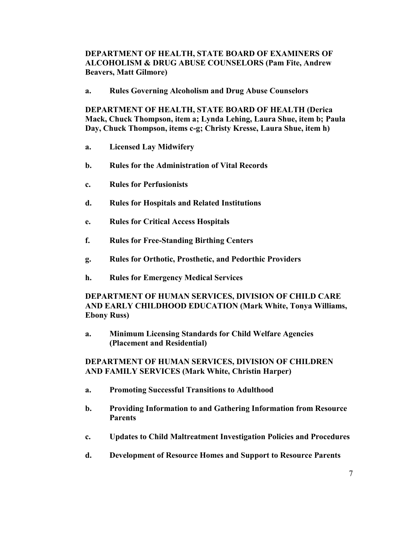# **DEPARTMENT OF HEALTH, STATE BOARD OF EXAMINERS OF ALCOHOLISM & DRUG ABUSE COUNSELORS (Pam Fite, Andrew Beavers, Matt Gilmore)**

**a. Rules Governing Alcoholism and Drug Abuse Counselors**

**DEPARTMENT OF HEALTH, STATE BOARD OF HEALTH (Derica Mack, Chuck Thompson, item a; Lynda Lehing, Laura Shue, item b; Paula Day, Chuck Thompson, items c-g; Christy Kresse, Laura Shue, item h)**

- **a. Licensed Lay Midwifery**
- **b. Rules for the Administration of Vital Records**
- **c. Rules for Perfusionists**
- **d. Rules for Hospitals and Related Institutions**
- **e. Rules for Critical Access Hospitals**
- **f. Rules for Free-Standing Birthing Centers**
- **g. Rules for Orthotic, Prosthetic, and Pedorthic Providers**
- **h. Rules for Emergency Medical Services**

# **DEPARTMENT OF HUMAN SERVICES, DIVISION OF CHILD CARE AND EARLY CHILDHOOD EDUCATION (Mark White, Tonya Williams, Ebony Russ)**

**a. Minimum Licensing Standards for Child Welfare Agencies (Placement and Residential)**

### **DEPARTMENT OF HUMAN SERVICES, DIVISION OF CHILDREN AND FAMILY SERVICES (Mark White, Christin Harper)**

- **a. Promoting Successful Transitions to Adulthood**
- **b. Providing Information to and Gathering Information from Resource Parents**
- **c. Updates to Child Maltreatment Investigation Policies and Procedures**
- **d. Development of Resource Homes and Support to Resource Parents**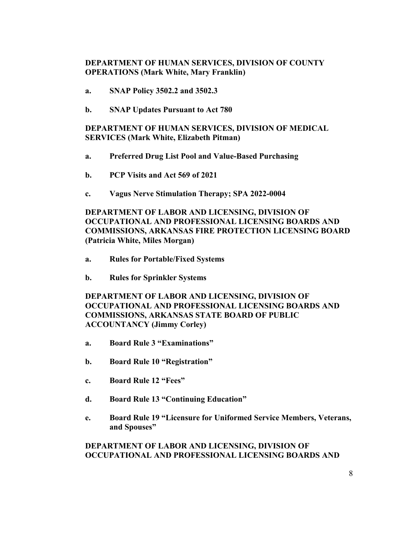# **DEPARTMENT OF HUMAN SERVICES, DIVISION OF COUNTY OPERATIONS (Mark White, Mary Franklin)**

- **a. SNAP Policy 3502.2 and 3502.3**
- **b. SNAP Updates Pursuant to Act 780**

# **DEPARTMENT OF HUMAN SERVICES, DIVISION OF MEDICAL SERVICES (Mark White, Elizabeth Pitman)**

- **a. Preferred Drug List Pool and Value-Based Purchasing**
- **b. PCP Visits and Act 569 of 2021**
- **c. Vagus Nerve Stimulation Therapy; SPA 2022-0004**

## **DEPARTMENT OF LABOR AND LICENSING, DIVISION OF OCCUPATIONAL AND PROFESSIONAL LICENSING BOARDS AND COMMISSIONS, ARKANSAS FIRE PROTECTION LICENSING BOARD (Patricia White, Miles Morgan)**

- **a. Rules for Portable/Fixed Systems**
- **b. Rules for Sprinkler Systems**

# **DEPARTMENT OF LABOR AND LICENSING, DIVISION OF OCCUPATIONAL AND PROFESSIONAL LICENSING BOARDS AND COMMISSIONS, ARKANSAS STATE BOARD OF PUBLIC ACCOUNTANCY (Jimmy Corley)**

- **a. Board Rule 3 "Examinations"**
- **b. Board Rule 10 "Registration"**
- **c. Board Rule 12 "Fees"**
- **d. Board Rule 13 "Continuing Education"**
- **e. Board Rule 19 "Licensure for Uniformed Service Members, Veterans, and Spouses"**

#### **DEPARTMENT OF LABOR AND LICENSING, DIVISION OF OCCUPATIONAL AND PROFESSIONAL LICENSING BOARDS AND**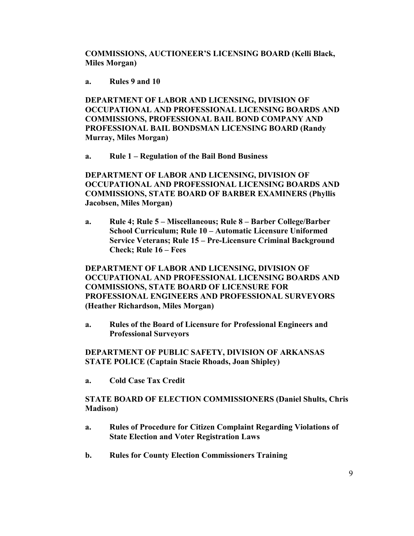**COMMISSIONS, AUCTIONEER'S LICENSING BOARD (Kelli Black, Miles Morgan)**

**a. Rules 9 and 10**

**DEPARTMENT OF LABOR AND LICENSING, DIVISION OF OCCUPATIONAL AND PROFESSIONAL LICENSING BOARDS AND COMMISSIONS, PROFESSIONAL BAIL BOND COMPANY AND PROFESSIONAL BAIL BONDSMAN LICENSING BOARD (Randy Murray, Miles Morgan)**

**a. Rule 1 – Regulation of the Bail Bond Business**

**DEPARTMENT OF LABOR AND LICENSING, DIVISION OF OCCUPATIONAL AND PROFESSIONAL LICENSING BOARDS AND COMMISSIONS, STATE BOARD OF BARBER EXAMINERS (Phyllis Jacobsen, Miles Morgan)**

**a. Rule 4; Rule 5 – Miscellaneous; Rule 8 – Barber College/Barber School Curriculum; Rule 10 – Automatic Licensure Uniformed Service Veterans; Rule 15 – Pre-Licensure Criminal Background Check; Rule 16 – Fees**

**DEPARTMENT OF LABOR AND LICENSING, DIVISION OF OCCUPATIONAL AND PROFESSIONAL LICENSING BOARDS AND COMMISSIONS, STATE BOARD OF LICENSURE FOR PROFESSIONAL ENGINEERS AND PROFESSIONAL SURVEYORS (Heather Richardson, Miles Morgan)**

**a. Rules of the Board of Licensure for Professional Engineers and Professional Surveyors**

**DEPARTMENT OF PUBLIC SAFETY, DIVISION OF ARKANSAS STATE POLICE (Captain Stacie Rhoads, Joan Shipley)**

**a. Cold Case Tax Credit**

**STATE BOARD OF ELECTION COMMISSIONERS (Daniel Shults, Chris Madison)**

- **a. Rules of Procedure for Citizen Complaint Regarding Violations of State Election and Voter Registration Laws**
- **b. Rules for County Election Commissioners Training**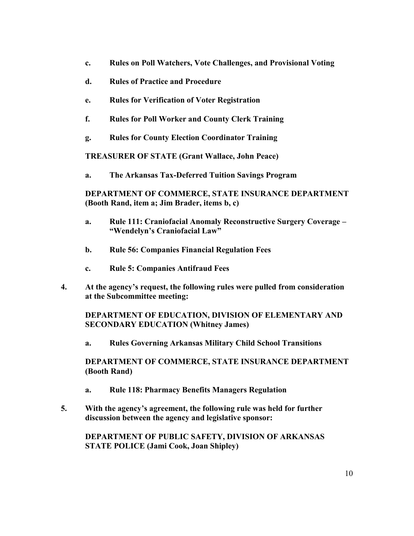- **c. Rules on Poll Watchers, Vote Challenges, and Provisional Voting**
- **d. Rules of Practice and Procedure**
- **e. Rules for Verification of Voter Registration**
- **f. Rules for Poll Worker and County Clerk Training**
- **g. Rules for County Election Coordinator Training**

**TREASURER OF STATE (Grant Wallace, John Peace)**

**a. The Arkansas Tax-Deferred Tuition Savings Program**

**DEPARTMENT OF COMMERCE, STATE INSURANCE DEPARTMENT (Booth Rand, item a; Jim Brader, items b, c)**

- **a. Rule 111: Craniofacial Anomaly Reconstructive Surgery Coverage – "Wendelyn's Craniofacial Law"**
- **b. Rule 56: Companies Financial Regulation Fees**
- **c. Rule 5: Companies Antifraud Fees**
- **4. At the agency's request, the following rules were pulled from consideration at the Subcommittee meeting:**

**DEPARTMENT OF EDUCATION, DIVISION OF ELEMENTARY AND SECONDARY EDUCATION (Whitney James)**

**a. Rules Governing Arkansas Military Child School Transitions**

**DEPARTMENT OF COMMERCE, STATE INSURANCE DEPARTMENT (Booth Rand)**

- **a. Rule 118: Pharmacy Benefits Managers Regulation**
- **5. With the agency's agreement, the following rule was held for further discussion between the agency and legislative sponsor:**

**DEPARTMENT OF PUBLIC SAFETY, DIVISION OF ARKANSAS STATE POLICE (Jami Cook, Joan Shipley)**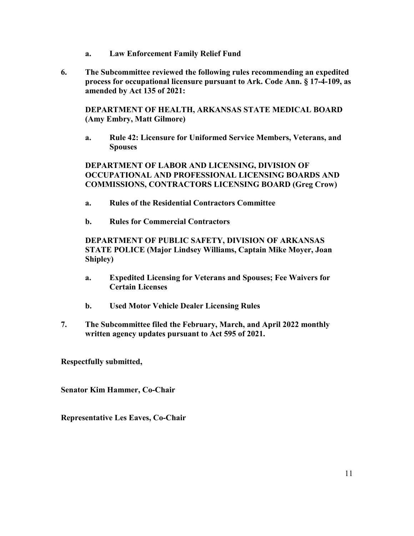- **a. Law Enforcement Family Relief Fund**
- **6. The Subcommittee reviewed the following rules recommending an expedited process for occupational licensure pursuant to Ark. Code Ann. § 17-4-109, as amended by Act 135 of 2021:**

**DEPARTMENT OF HEALTH, ARKANSAS STATE MEDICAL BOARD (Amy Embry, Matt Gilmore)**

**a. Rule 42: Licensure for Uniformed Service Members, Veterans, and Spouses**

**DEPARTMENT OF LABOR AND LICENSING, DIVISION OF OCCUPATIONAL AND PROFESSIONAL LICENSING BOARDS AND COMMISSIONS, CONTRACTORS LICENSING BOARD (Greg Crow)**

- **a. Rules of the Residential Contractors Committee**
- **b. Rules for Commercial Contractors**

# **DEPARTMENT OF PUBLIC SAFETY, DIVISION OF ARKANSAS STATE POLICE (Major Lindsey Williams, Captain Mike Moyer, Joan Shipley)**

- **a. Expedited Licensing for Veterans and Spouses; Fee Waivers for Certain Licenses**
- **b. Used Motor Vehicle Dealer Licensing Rules**
- **7. The Subcommittee filed the February, March, and April 2022 monthly written agency updates pursuant to Act 595 of 2021.**

**Respectfully submitted,**

**Senator Kim Hammer, Co-Chair**

**Representative Les Eaves, Co-Chair**